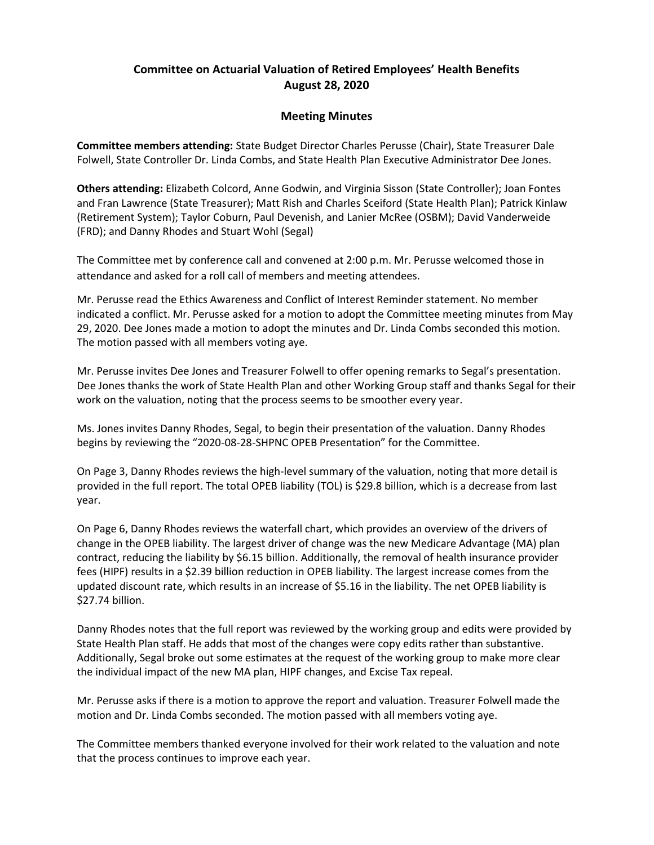## Committee on Actuarial Valuation of Retired Employees' Health Benefits August 28, 2020

## Meeting Minutes

Committee members attending: State Budget Director Charles Perusse (Chair), State Treasurer Dale Folwell, State Controller Dr. Linda Combs, and State Health Plan Executive Administrator Dee Jones.

Others attending: Elizabeth Colcord, Anne Godwin, and Virginia Sisson (State Controller); Joan Fontes and Fran Lawrence (State Treasurer); Matt Rish and Charles Sceiford (State Health Plan); Patrick Kinlaw (Retirement System); Taylor Coburn, Paul Devenish, and Lanier McRee (OSBM); David Vanderweide (FRD); and Danny Rhodes and Stuart Wohl (Segal)

The Committee met by conference call and convened at 2:00 p.m. Mr. Perusse welcomed those in attendance and asked for a roll call of members and meeting attendees.

Mr. Perusse read the Ethics Awareness and Conflict of Interest Reminder statement. No member indicated a conflict. Mr. Perusse asked for a motion to adopt the Committee meeting minutes from May 29, 2020. Dee Jones made a motion to adopt the minutes and Dr. Linda Combs seconded this motion. The motion passed with all members voting aye.

Mr. Perusse invites Dee Jones and Treasurer Folwell to offer opening remarks to Segal's presentation. Dee Jones thanks the work of State Health Plan and other Working Group staff and thanks Segal for their work on the valuation, noting that the process seems to be smoother every year.

Ms. Jones invites Danny Rhodes, Segal, to begin their presentation of the valuation. Danny Rhodes begins by reviewing the "2020-08-28-SHPNC OPEB Presentation" for the Committee.

On Page 3, Danny Rhodes reviews the high-level summary of the valuation, noting that more detail is provided in the full report. The total OPEB liability (TOL) is \$29.8 billion, which is a decrease from last year.

On Page 6, Danny Rhodes reviews the waterfall chart, which provides an overview of the drivers of change in the OPEB liability. The largest driver of change was the new Medicare Advantage (MA) plan contract, reducing the liability by \$6.15 billion. Additionally, the removal of health insurance provider fees (HIPF) results in a \$2.39 billion reduction in OPEB liability. The largest increase comes from the updated discount rate, which results in an increase of \$5.16 in the liability. The net OPEB liability is \$27.74 billion.

Danny Rhodes notes that the full report was reviewed by the working group and edits were provided by State Health Plan staff. He adds that most of the changes were copy edits rather than substantive. Additionally, Segal broke out some estimates at the request of the working group to make more clear the individual impact of the new MA plan, HIPF changes, and Excise Tax repeal.

Mr. Perusse asks if there is a motion to approve the report and valuation. Treasurer Folwell made the motion and Dr. Linda Combs seconded. The motion passed with all members voting aye.

The Committee members thanked everyone involved for their work related to the valuation and note that the process continues to improve each year.